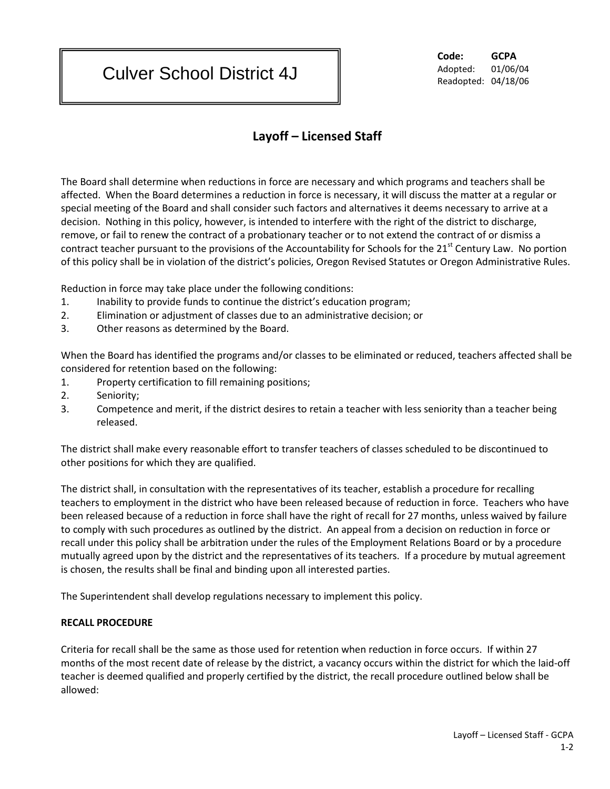## Culver School District 4J

**Code: GCPA** Adopted: 01/06/04 Readopted: 04/18/06

## **Layoff – Licensed Staff**

The Board shall determine when reductions in force are necessary and which programs and teachers shall be affected. When the Board determines a reduction in force is necessary, it will discuss the matter at a regular or special meeting of the Board and shall consider such factors and alternatives it deems necessary to arrive at a decision. Nothing in this policy, however, is intended to interfere with the right of the district to discharge, remove, or fail to renew the contract of a probationary teacher or to not extend the contract of or dismiss a contract teacher pursuant to the provisions of the Accountability for Schools for the 21<sup>st</sup> Century Law. No portion of this policy shall be in violation of the district's policies, Oregon Revised Statutes or Oregon Administrative Rules.

Reduction in force may take place under the following conditions:

- 1. Inability to provide funds to continue the district's education program;
- 2. Elimination or adjustment of classes due to an administrative decision; or
- 3. Other reasons as determined by the Board.

When the Board has identified the programs and/or classes to be eliminated or reduced, teachers affected shall be considered for retention based on the following:

- 1. Property certification to fill remaining positions;
- 2. Seniority;
- 3. Competence and merit, if the district desires to retain a teacher with less seniority than a teacher being released.

The district shall make every reasonable effort to transfer teachers of classes scheduled to be discontinued to other positions for which they are qualified.

The district shall, in consultation with the representatives of its teacher, establish a procedure for recalling teachers to employment in the district who have been released because of reduction in force. Teachers who have been released because of a reduction in force shall have the right of recall for 27 months, unless waived by failure to comply with such procedures as outlined by the district. An appeal from a decision on reduction in force or recall under this policy shall be arbitration under the rules of the Employment Relations Board or by a procedure mutually agreed upon by the district and the representatives of its teachers. If a procedure by mutual agreement is chosen, the results shall be final and binding upon all interested parties.

The Superintendent shall develop regulations necessary to implement this policy.

## **RECALL PROCEDURE**

Criteria for recall shall be the same as those used for retention when reduction in force occurs. If within 27 months of the most recent date of release by the district, a vacancy occurs within the district for which the laid-off teacher is deemed qualified and properly certified by the district, the recall procedure outlined below shall be allowed: